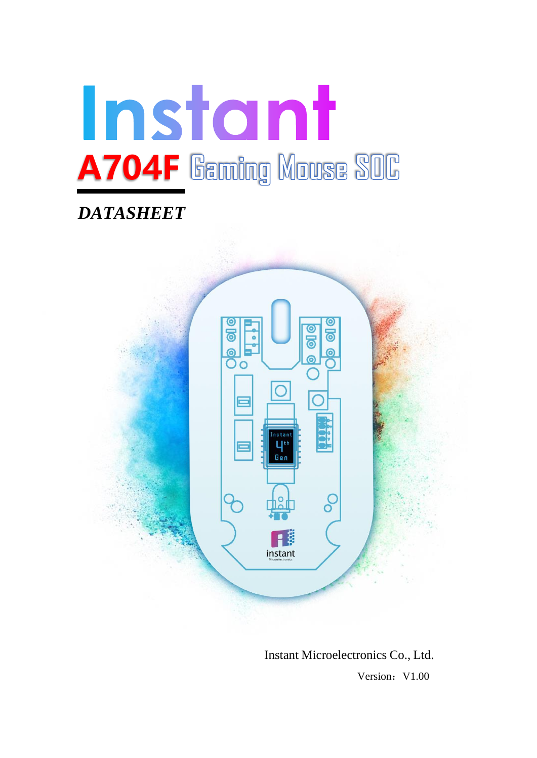

# *DATASHEET*



Instant Microelectronics Co., Ltd. **Version:** V1.00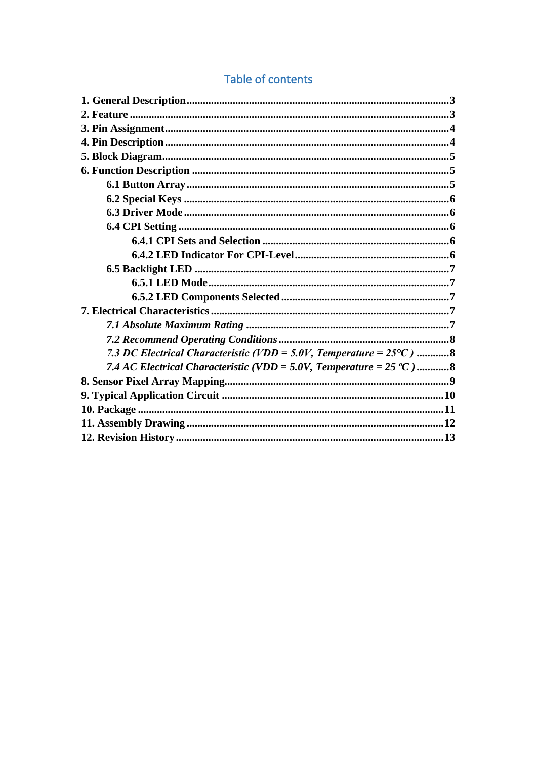## Table of contents

| 7.3 DC Electrical Characteristic (VDD = 5.0V, Temperature = $25^{\circ}$ C) 8 |
|-------------------------------------------------------------------------------|
| 7.4 AC Electrical Characteristic (VDD = 5.0V, Temperature = $25 °C$ )8        |
|                                                                               |
|                                                                               |
|                                                                               |
|                                                                               |
|                                                                               |
|                                                                               |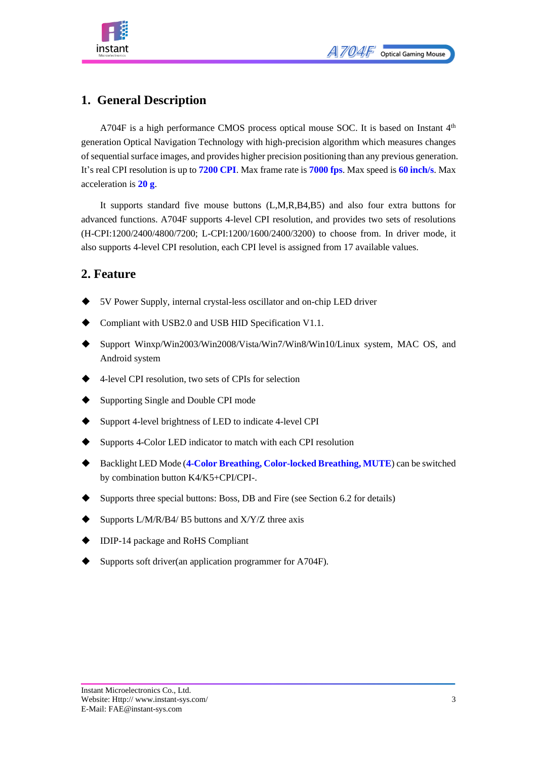

### <span id="page-2-0"></span>**1. General Description**

A704F is a high performance CMOS process optical mouse SOC. It is based on Instant 4<sup>th</sup> generation Optical Navigation Technology with high-precision algorithm which measures changes of sequential surface images, and provides higher precision positioning than any previous generation. It's real CPI resolution is up to **7200 CPI**. Max frame rate is **7000 fps**. Max speed is **60 inch/s**. Max acceleration is **20 g**.

It supports standard five mouse buttons (L,M,R,B4,B5) and also four extra buttons for advanced functions. A704F supports 4-level CPI resolution, and provides two sets of resolutions (H-CPI:1200/2400/4800/7200; L-CPI:1200/1600/2400/3200) to choose from. In driver mode, it also supports 4-level CPI resolution, each CPI level is assigned from 17 available values.

### <span id="page-2-1"></span>**2. Feature**

- ◆ 5V Power Supply, internal crystal-less oscillator and on-chip LED driver
- Compliant with USB2.0 and USB HID Specification V1.1.
- Support Winxp/Win2003/Win2008/Vista/Win7/Win8/Win10/Linux system, MAC OS, and Android system
- 4-level CPI resolution, two sets of CPIs for selection
- Supporting Single and Double CPI mode
- Support 4-level brightness of LED to indicate 4-level CPI
- Supports 4-Color LED indicator to match with each CPI resolution
- ◆ Backlight LED Mode (**4-Color Breathing, Color-locked Breathing, MUTE**) can be switched by combination button K4/K5+CPI/CPI-.
- Supports three special buttons: Boss, DB and Fire (see Section 6.2 for details)
- Supports L/M/R/B4/ B5 buttons and  $X/Y/Z$  three axis
- IDIP-14 package and RoHS Compliant
- Supports soft driver(an application programmer for A704F).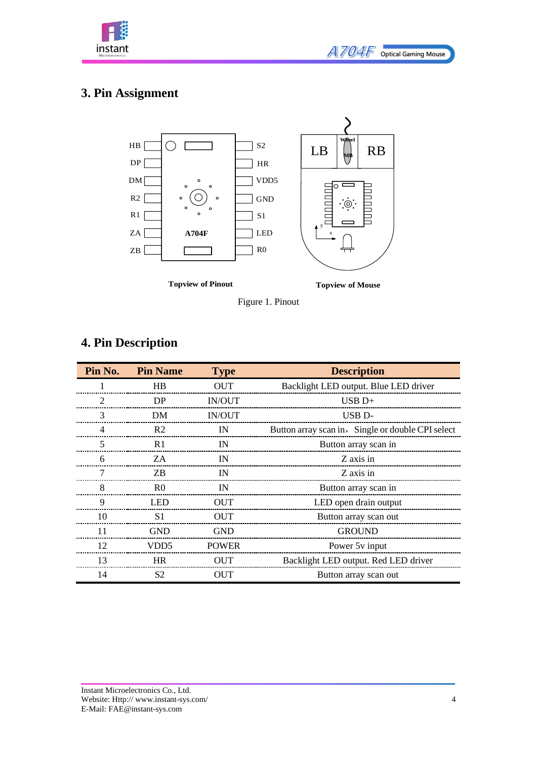

## <span id="page-3-0"></span>**3. Pin Assignment**



Figure 1. Pinout

## <span id="page-3-1"></span>**4. Pin Description**

| Pin No. | <b>Pin Name</b>  | <b>Type</b>   | <b>Description</b>                                |  |  |
|---------|------------------|---------------|---------------------------------------------------|--|--|
|         | <b>HB</b>        | <b>OUT</b>    | Backlight LED output. Blue LED driver             |  |  |
| 2       | DP               | <b>IN/OUT</b> | $USB D+$                                          |  |  |
| 3       | DM               | <b>IN/OUT</b> | USB <sub>D</sub> -                                |  |  |
| 4       | R <sub>2</sub>   | IN            | Button array scan in, Single or double CPI select |  |  |
| 5       | R <sub>1</sub>   | IN            | Button array scan in                              |  |  |
| 6       | ZA               | IN            | Z axis in                                         |  |  |
| 7       | ZB.              | IN            | Z axis in                                         |  |  |
| 8       | R <sub>0</sub>   | IN            | Button array scan in                              |  |  |
| 9       | <b>LED</b>       | <b>OUT</b>    | LED open drain output                             |  |  |
| 10      | S1               | <b>OUT</b>    | Button array scan out                             |  |  |
| 11      | <b>GND</b>       | <b>GND</b>    | <b>GROUND</b>                                     |  |  |
| 12      | VDD <sub>5</sub> | <b>POWER</b>  | Power 5y input                                    |  |  |
| 13      | <b>HR</b>        | <b>OUT</b>    | Backlight LED output. Red LED driver              |  |  |
| 14      | S <sub>2</sub>   | <b>OUT</b>    | Button array scan out                             |  |  |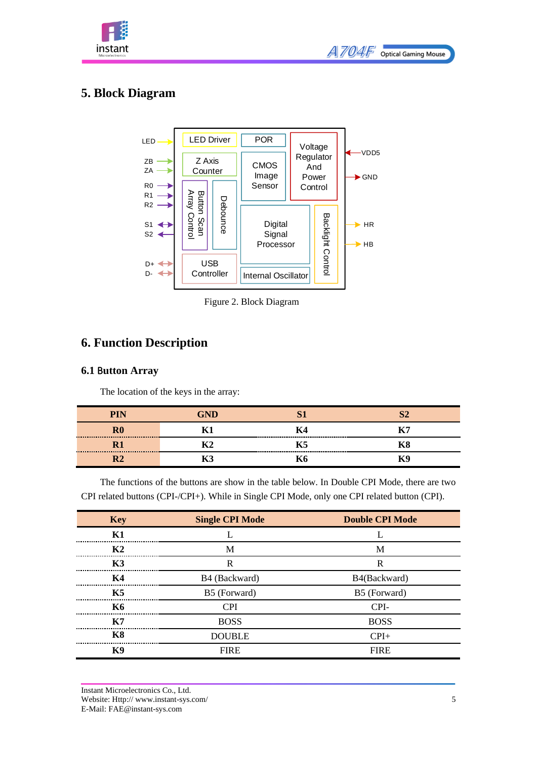



### <span id="page-4-0"></span>**5. Block Diagram**



Figure 2. Block Diagram

### <span id="page-4-1"></span>**6. Function Description**

#### <span id="page-4-2"></span>**6.1** B**utton Array**

The location of the keys in the array:

| <b>PIN</b> | חאי | $\sim$ |    |
|------------|-----|--------|----|
|            |     |        |    |
|            |     | K5     | ĸδ |
|            |     |        | ĸч |

The functions of the buttons are show in the table below. In Double CPI Mode, there are two CPI related buttons (CPI-/CPI+). While in Single CPI Mode, only one CPI related button (CPI).

| <b>Key</b> | <b>Single CPI Mode</b> | <b>Double CPI Mode</b> |  |  |
|------------|------------------------|------------------------|--|--|
| K1         |                        |                        |  |  |
| K2         | M                      | M                      |  |  |
| K3         | R                      | R                      |  |  |
| K4         | B4 (Backward)          | B4(Backward)           |  |  |
| <b>K5</b>  | B5 (Forward)           | B5 (Forward)           |  |  |
| <b>K6</b>  | <b>CPI</b>             | CPI-                   |  |  |
| K7         | <b>BOSS</b>            | <b>BOSS</b>            |  |  |
| <b>K8</b>  | <b>DOUBLE</b>          | $CPI+$                 |  |  |
| K9         | <b>FIRE</b>            | <b>FIRE</b>            |  |  |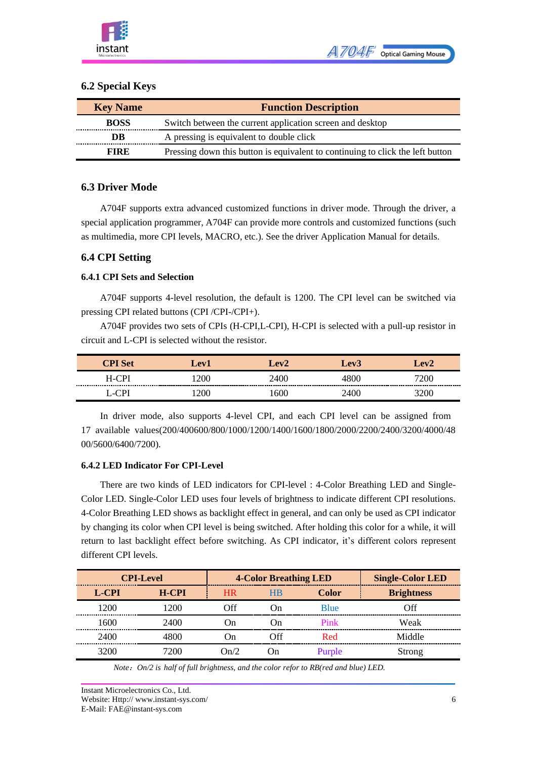#### <span id="page-5-0"></span>**6.2 Special Keys**

| <b>Key Name</b> | <b>Function Description</b>                                                    |  |  |  |  |  |  |
|-----------------|--------------------------------------------------------------------------------|--|--|--|--|--|--|
| <b>BOSS</b>     | Switch between the current application screen and desktop                      |  |  |  |  |  |  |
| DB              | A pressing is equivalent to double click                                       |  |  |  |  |  |  |
| <b>FIRE</b>     | Pressing down this button is equivalent to continuing to click the left button |  |  |  |  |  |  |

#### <span id="page-5-1"></span>**6.3 Driver Mode**

A704F supports extra advanced customized functions in driver mode. Through the driver, a special application programmer, A704F can provide more controls and customized functions (such as multimedia, more CPI levels, MACRO, etc.). See the driver Application Manual for details.

#### <span id="page-5-2"></span>**6.4 CPI Setting**

#### <span id="page-5-3"></span>**6.4.1 CPI Sets and Selection**

A704F supports 4-level resolution, the default is 1200. The CPI level can be switched via pressing CPI related buttons (CPI /CPI-/CPI+).

A704F provides two sets of CPIs (H-CPI,L-CPI), H-CPI is selected with a pull-up resistor in circuit and L-CPI is selected without the resistor.

| <b>Set</b> | Lev1 | eV  | Lev3 | $-$ ev $2$ |
|------------|------|-----|------|------------|
| ⊇P⊺<br>H-C |      | .UC |      | 200        |
| Ψ<br>-     |      | М   |      | U          |

In driver mode, also supports 4-level CPI, and each CPI level can be assigned from 17 available values(200/400600/800/1000/1200/1400/1600/1800/2000/2200/2400/3200/4000/48 00/5600/6400/7200).

#### <span id="page-5-4"></span>**6.4.2 LED Indicator For CPI-Level**

There are two kinds of LED indicators for CPI-level : 4-Color Breathing LED and Single-Color LED. Single-Color LED uses four levels of brightness to indicate different CPI resolutions. 4-Color Breathing LED shows as backlight effect in general, and can only be used as CPI indicator by changing its color when CPI level is being switched. After holding this color for a while, it will return to last backlight effect before switching. As CPI indicator, it's different colors represent different CPI levels.

|              | <b>CPI-Level</b> | <b>4-Color Breathing LED</b> |           |              | <b>Single-Color LED</b> |
|--------------|------------------|------------------------------|-----------|--------------|-------------------------|
| <b>L-CPI</b> | <b>H-CPI</b>     | H <sub>R</sub>               | <b>HB</b> | <b>Color</b> | <b>Brightness</b>       |
| 1200         | 200              | Off                          | . Jn      | <b>B</b> lue | ∩ff                     |
| 1600         | 2400             | On)                          | Dn.       | Pink         | Weak                    |
| 2400         | 4800             | On)                          | Off       | Red.         | Middle                  |
| 3200         | ワハハ              | $\mathcal{D}n/2$             | l Jn      | Purple       | Strong                  |

*Note*:*On/2 is half of full brightness, and the color refor to RB(red and blue) LED.*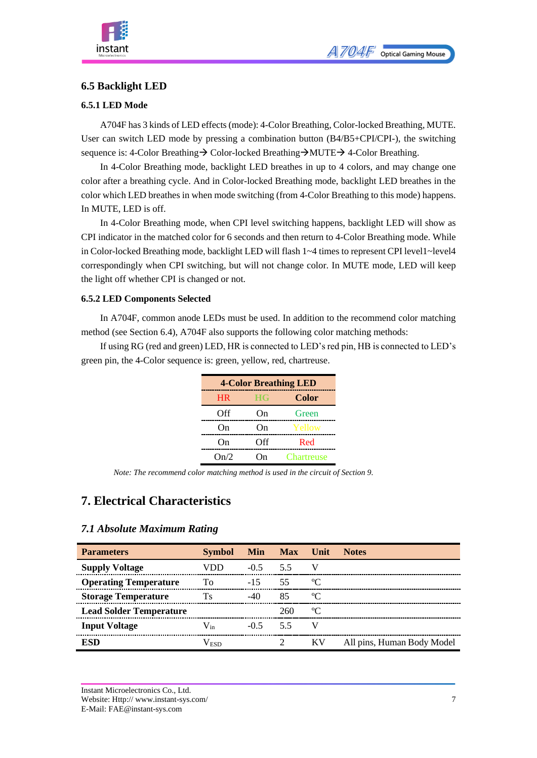

#### <span id="page-6-0"></span>**6.5 Backlight LED**

#### <span id="page-6-1"></span>**6.5.1 LED Mode**

A704F has 3 kinds of LED effects(mode): 4-Color Breathing, Color-locked Breathing, MUTE. User can switch LED mode by pressing a combination button (B4/B5+CPI/CPI-), the switching sequence is: 4-Color Breathing→ Color-locked Breathing→MUTE→ 4-Color Breathing.

In 4-Color Breathing mode, backlight LED breathes in up to 4 colors, and may change one color after a breathing cycle. And in Color-locked Breathing mode, backlight LED breathes in the color which LED breathes in when mode switching (from 4-Color Breathing to this mode) happens. In MUTE, LED is off.

In 4-Color Breathing mode, when CPI level switching happens, backlight LED will show as CPI indicator in the matched color for 6 seconds and then return to 4-Color Breathing mode. While in Color-locked Breathing mode, backlight LED will flash 1~4 times to represent CPI level1~level4 [correspondingly](javascript:;) when CPI switching, but will not change color. In MUTE mode, LED will keep the light off whether CPI is changed or not.

#### <span id="page-6-2"></span>**6.5.2 LED Components Selected**

In A704F, common anode LEDs must be used. In addition to the recommend color matching method (see Section 6.4), A704F also supports the following color matching methods:

If using RG (red and green) LED, HR is connected to LED's red pin, HB is connected to LED's green pin, the 4-Color sequence is: green, yellow, red, chartreuse.

| <b>4-Color Breathing LED</b> |           |              |  |  |  |  |  |  |
|------------------------------|-----------|--------------|--|--|--|--|--|--|
| <b>HR</b>                    | <b>HG</b> | <b>Color</b> |  |  |  |  |  |  |
| Off                          | On        | Green        |  |  |  |  |  |  |
| On                           | On        | Yellow       |  |  |  |  |  |  |
| On                           | Off       | Red          |  |  |  |  |  |  |
| On/2                         | `)n       | Chartreuse   |  |  |  |  |  |  |

*Note: The recommend color matching method is used in the circuit of Section 9.*

### <span id="page-6-3"></span>**7. Electrical Characteristics**

#### <span id="page-6-4"></span>*7.1 Absolute Maximum Rating*

| <b>Parameters</b>              | <b>Symbol</b> |            | Min Max Unit |             | <b>Notes</b>               |
|--------------------------------|---------------|------------|--------------|-------------|----------------------------|
| <b>Supply Voltage</b>          | VDD           | $-0.5$     | 5.5          | V           |                            |
| <b>Operating Temperature</b>   | To            | $-15$      | 55           | °C          |                            |
| <b>Storage Temperature</b>     | Ts            | $-40$      | 85           | $\rm ^oC$   |                            |
| <b>Lead Solder Temperature</b> |               |            | 260          | $\rm ^{o}C$ |                            |
| <b>Input Voltage</b>           | $V_{in}$      | $-0.5$ 5.5 |              | V           |                            |
| ESD                            | V FST         |            |              | KV          | All pins, Human Body Model |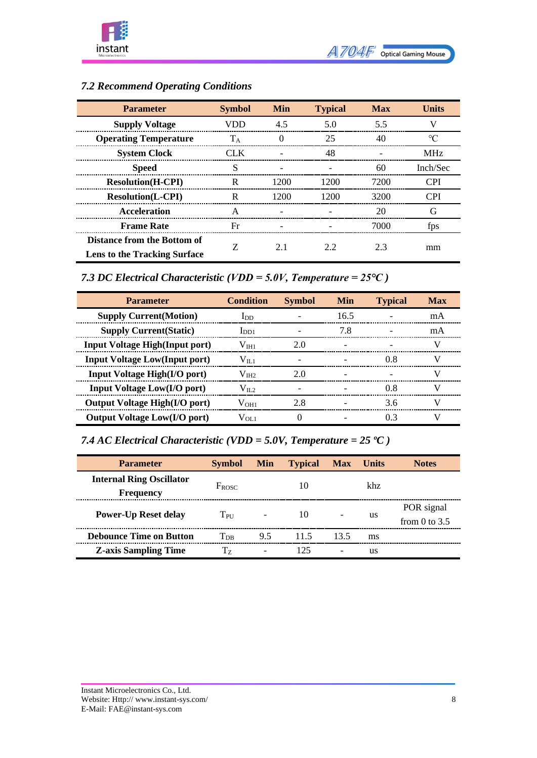

| <b>Parameter</b>                                                   | <b>Symbol</b> | <b>Min</b> | <b>Typical</b> | <b>Max</b> | Units      |
|--------------------------------------------------------------------|---------------|------------|----------------|------------|------------|
| <b>Supply Voltage</b>                                              | VDD           | 4.5        | 5.0            | 5.5        |            |
| <b>Operating Temperature</b>                                       | $T_A$         | $^{(1)}$   | 25             | 40         | $\circ$ C  |
| <b>System Clock</b>                                                | CLK.          |            | 48             |            | <b>MHz</b> |
| <b>Speed</b>                                                       | S             |            |                | 60         | Inch/Sec   |
| <b>Resolution</b> (H-CPI)                                          | R             | 1200       | 1200           | 7200       | <b>CPI</b> |
| <b>Resolution(L-CPI)</b>                                           | R             | 1200       | 1200           | 3200       | <b>CPI</b> |
| <b>Acceleration</b>                                                | A             |            |                | 20         | G          |
| <b>Frame Rate</b>                                                  | Fr            |            |                | 7000       | fps        |
| Distance from the Bottom of<br><b>Lens to the Tracking Surface</b> |               | 21         | 2.2            | 2.3        | mm         |

### <span id="page-7-0"></span>*7.2 Recommend Operating Conditions*

<span id="page-7-1"></span>*7.3 DC Electrical Characteristic (VDD = 5.0V, Temperature = 25℃ )*

| <b>Parameter</b>                       | <b>Condition</b>  | <b>Symbol</b> | Min                      | <b>Typical</b> | <b>Max</b> |
|----------------------------------------|-------------------|---------------|--------------------------|----------------|------------|
| <b>Supply Current (Motion)</b>         | $_{\text{LDD}}$   |               | 16.5                     |                | mA         |
| <b>Supply Current (Static)</b>         | $_{\text{IDD1}}$  |               | 7.8                      |                | mA         |
| <b>Input Voltage High</b> (Input port) | $\rm V_{\rm IH1}$ | 2.0           |                          |                | V          |
| <b>Input Voltage Low(Input port)</b>   | $\rm V_{II.1}$    |               |                          | 0.8            | V          |
| <b>Input Voltage High(I/O port)</b>    | $\rm V_{III2}$    | 2.0           |                          |                | V          |
| Input Voltage Low(I/O port)            | $V_{II,2}$        |               |                          | 0.8            | V          |
| <b>Output Voltage High(I/O port)</b>   | $V_{\rm OH1}$     | 2.8           | $\overline{\phantom{a}}$ | 3.6            | V          |
| <b>Output Voltage Low(I/O port)</b>    | $\rm V_{OL1}$     |               |                          | 03             | v          |

<span id="page-7-2"></span>*7.4 AC Electrical Characteristic (VDD = 5.0V, Temperature = 25 ºC )*

| <b>Parameter</b>                                    | <b>Symbol</b>     | <b>Min</b> | <b>Typical</b> | <b>Max</b> | <b>Units</b> | <b>Notes</b>                  |
|-----------------------------------------------------|-------------------|------------|----------------|------------|--------------|-------------------------------|
| <b>Internal Ring Oscillator</b><br><b>Frequency</b> | $F_{ROSC}$        |            | 10             |            | khz.         |                               |
| <b>Power-Up Reset delay</b>                         | $T_{\rm PI}$      |            | 10             |            | us           | POR signal<br>from 0 to $3.5$ |
| <b>Debounce Time on Button</b>                      | $T_{\mathrm{DB}}$ | 9.5        | 11.5           | 13.5       | ms           |                               |
| <b>Z-axis Sampling Time</b>                         | Тz                |            | 125            |            | us           |                               |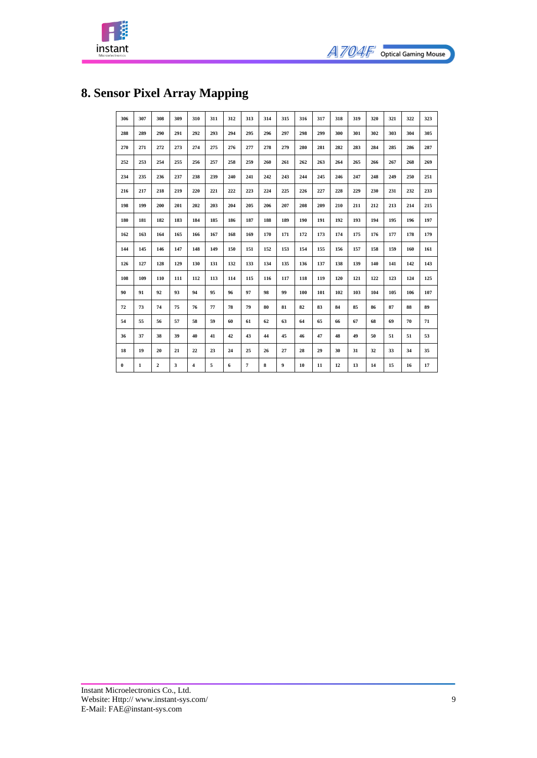



## <span id="page-8-0"></span>**8. Sensor Pixel Array Mapping**

| 306      | 307          | 308          | 309 | 310 | 311 | 312 | 313            | 314 | 315 | 316 | 317 | 318 | 319 | 320 | 321 | 322 | 323 |
|----------|--------------|--------------|-----|-----|-----|-----|----------------|-----|-----|-----|-----|-----|-----|-----|-----|-----|-----|
| 288      | 289          | 290          | 291 | 292 | 293 | 294 | 295            | 296 | 297 | 298 | 299 | 300 | 301 | 302 | 303 | 304 | 305 |
| 270      | 271          | 272          | 273 | 274 | 275 | 276 | 277            | 278 | 279 | 280 | 281 | 282 | 283 | 284 | 285 | 286 | 287 |
| 252      | 253          | 254          | 255 | 256 | 257 | 258 | 259            | 260 | 261 | 262 | 263 | 264 | 265 | 266 | 267 | 268 | 269 |
| 234      | 235          | 236          | 237 | 238 | 239 | 240 | 241            | 242 | 243 | 244 | 245 | 246 | 247 | 248 | 249 | 250 | 251 |
| 216      | 217          | 218          | 219 | 220 | 221 | 222 | 223            | 224 | 225 | 226 | 227 | 228 | 229 | 230 | 231 | 232 | 233 |
| 198      | 199          | 200          | 201 | 202 | 203 | 204 | 205            | 206 | 207 | 208 | 209 | 210 | 211 | 212 | 213 | 214 | 215 |
| 180      | 181          | 182          | 183 | 184 | 185 | 186 | 187            | 188 | 189 | 190 | 191 | 192 | 193 | 194 | 195 | 196 | 197 |
| 162      | 163          | 164          | 165 | 166 | 167 | 168 | 169            | 170 | 171 | 172 | 173 | 174 | 175 | 176 | 177 | 178 | 179 |
| 144      | 145          | 146          | 147 | 148 | 149 | 150 | 151            | 152 | 153 | 154 | 155 | 156 | 157 | 158 | 159 | 160 | 161 |
| 126      | 127          | 128          | 129 | 130 | 131 | 132 | 133            | 134 | 135 | 136 | 137 | 138 | 139 | 140 | 141 | 142 | 143 |
| 108      | 109          | 110          | 111 | 112 | 113 | 114 | 115            | 116 | 117 | 118 | 119 | 120 | 121 | 122 | 123 | 124 | 125 |
| 90       | 91           | 92           | 93  | 94  | 95  | 96  | 97             | 98  | 99  | 100 | 101 | 102 | 103 | 104 | 105 | 106 | 107 |
| 72       | 73           | 74           | 75  | 76  | 77  | 78  | 79             | 80  | 81  | 82  | 83  | 84  | 85  | 86  | 87  | 88  | 89  |
| 54       | 55           | 56           | 57  | 58  | 59  | 60  | 61             | 62  | 63  | 64  | 65  | 66  | 67  | 68  | 69  | 70  | 71  |
| 36       | 37           | 38           | 39  | 40  | 41  | 42  | 43             | 44  | 45  | 46  | 47  | 48  | 49  | 50  | 51  | 51  | 53  |
| 18       | 19           | 20           | 21  | 22  | 23  | 24  | 25             | 26  | 27  | 28  | 29  | 30  | 31  | 32  | 33  | 34  | 35  |
| $\bf{0}$ | $\mathbf{1}$ | $\mathbf{2}$ | 3   | 4   | 5   | 6   | $\overline{7}$ | 8   | 9   | 10  | 11  | 12  | 13  | 14  | 15  | 16  | 17  |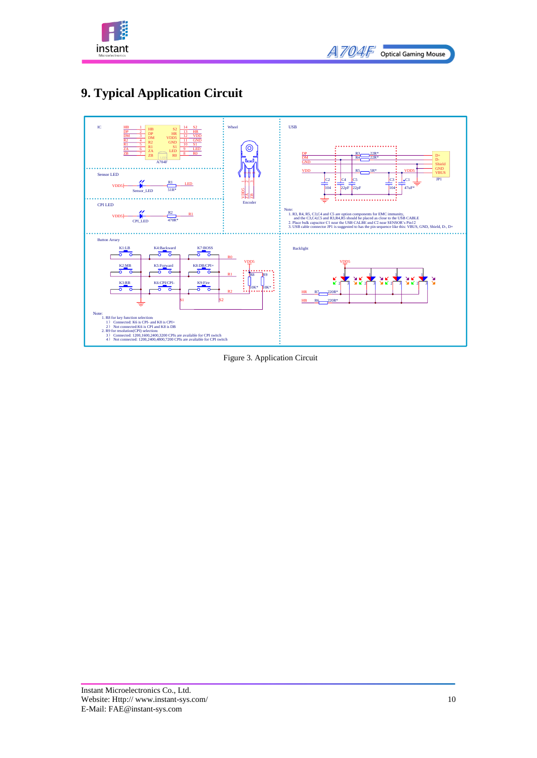

| <i>A704F</i> | <b>Optical Gaming Mouse</b> |
|--------------|-----------------------------|
|--------------|-----------------------------|

### <span id="page-9-0"></span>**9. Typical Application Circuit** 1 2



Figure 3. Application Circuit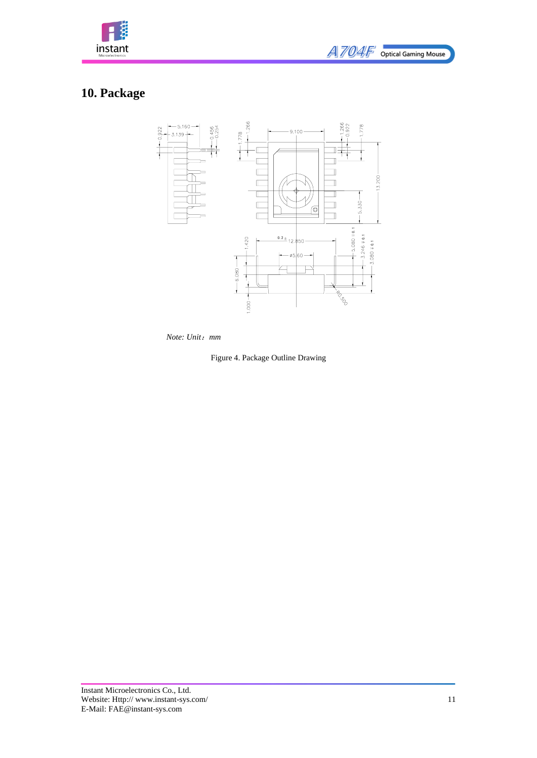

## <span id="page-10-0"></span>**10. Package**



*Note: Unit*:*mm*

Figure 4. Package Outline Drawing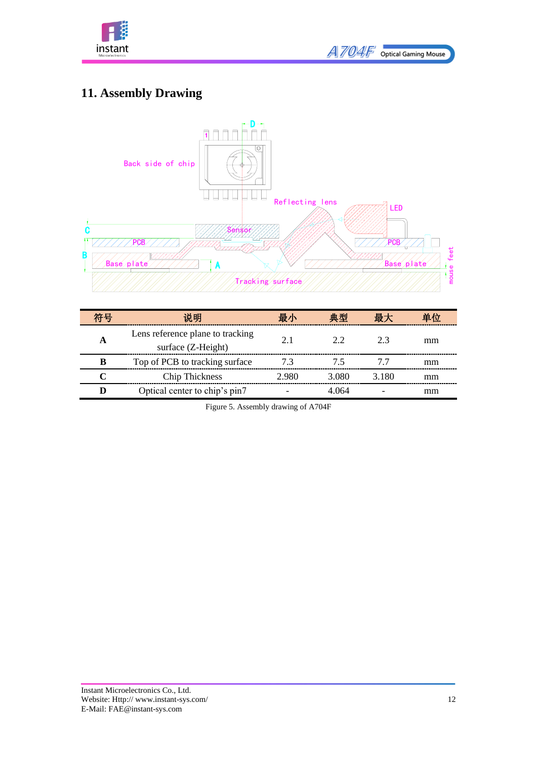

| <i>A704F</i> | <b>Optical Gaming Mouse</b> |
|--------------|-----------------------------|
|              |                             |

## <span id="page-11-0"></span>**11. Assembly Drawing**



| 符号 | 说明                                                     | 最小    | 典型    | 最大    | 单位 |
|----|--------------------------------------------------------|-------|-------|-------|----|
| A  | Lens reference plane to tracking<br>surface (Z-Height) | 2.1   | 22    | 23    | mm |
| В  | Top of PCB to tracking surface                         | 7.3   | 75    | 77    | mm |
|    | <b>Chip Thickness</b>                                  | 2.980 | 3.080 | 3.180 | mm |
| D  | Optical center to chip's pin7                          |       | 4.064 |       | mm |

Figure 5. Assembly drawing of A704F